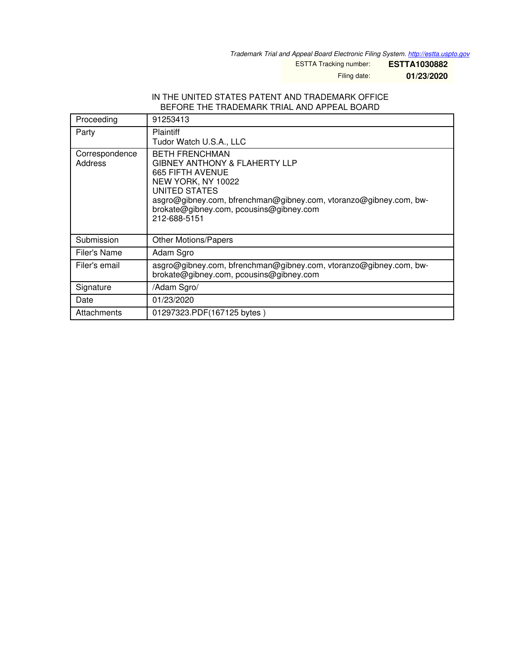*Trademark Trial and Appeal Board Electronic Filing System. <http://estta.uspto.gov>*

ESTTA Tracking number: **ESTTA1030882**

Filing date: **01/23/2020**

## IN THE UNITED STATES PATENT AND TRADEMARK OFFICE BEFORE THE TRADEMARK TRIAL AND APPEAL BOARD

| Proceeding                       | 91253413                                                                                                                                                                                                                                                            |
|----------------------------------|---------------------------------------------------------------------------------------------------------------------------------------------------------------------------------------------------------------------------------------------------------------------|
| Party                            | <b>Plaintiff</b><br>Tudor Watch U.S.A., LLC                                                                                                                                                                                                                         |
| Correspondence<br><b>Address</b> | <b>BETH FRENCHMAN</b><br><b>GIBNEY ANTHONY &amp; FLAHERTY LLP</b><br><b>665 FIFTH AVENUE</b><br>NEW YORK, NY 10022<br>UNITED STATES<br>asgro@gibney.com, bfrenchman@gibney.com, vtoranzo@gibney.com, bw-<br>brokate@gibney.com, pcousins@gibney.com<br>212-688-5151 |
| Submission                       | <b>Other Motions/Papers</b>                                                                                                                                                                                                                                         |
| Filer's Name                     | Adam Sgro                                                                                                                                                                                                                                                           |
| Filer's email                    | asgro@gibney.com, bfrenchman@gibney.com, vtoranzo@gibney.com, bw-<br>brokate@gibney.com, pcousins@gibney.com                                                                                                                                                        |
| Signature                        | /Adam Sgro/                                                                                                                                                                                                                                                         |
| Date                             | 01/23/2020                                                                                                                                                                                                                                                          |
| Attachments                      | 01297323.PDF(167125 bytes)                                                                                                                                                                                                                                          |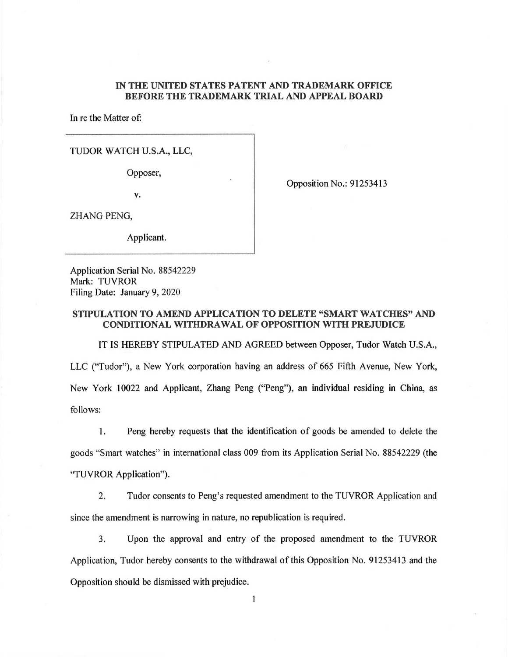## IN THE UNITED STATES PATENT AND TRADEMARK OFFICE BEFORE THE TRADEMARK TRIAL AND APPEAL BOARD

In re the Matter of

TUDOR WATCH U.S.A., LLC,

Opposer,

v.

Opposition No.: 91253413

ZHANG PENG,

Applicant.

Application Serial No. 88542229 Mark: TUVROR Filing Date: January 9, 2020

## STIPULATION TO AMEND APPLICATION TO DELETE "SMART WATCHES" AND CONDITIONAL WITHDRAWAL OF OPPOSITION WITH PREJUDICE

IT IS HEREBY STIPULATED AND AGREED between Opposer, Tudor Watch U.S.A., LLC ("Tudor"), a New York corporation having an address of 665 Fifth Avenue, New York, New York 10022 and Applicant, Zhang Peng ("Peng"), an individual residing in China, as follows:

Peng hereby requests that the identification of goods be amended to delete the  $1.$ goods "Smart watches" in international class 009 from its Application Serial No. 88542229 (the "TUVROR Application")

2. Tudor consents to Peng's requested amendment to the TUVROR Application and since the amendment is narrowing in nature, no republication is required.

3. Upon the approval and entry of the proposed amendment to the TUVROR Application, Tudor hereby consents to the withdrawal of this Opposition No. 91253413 and the Opposition should be dismissed with prejudice.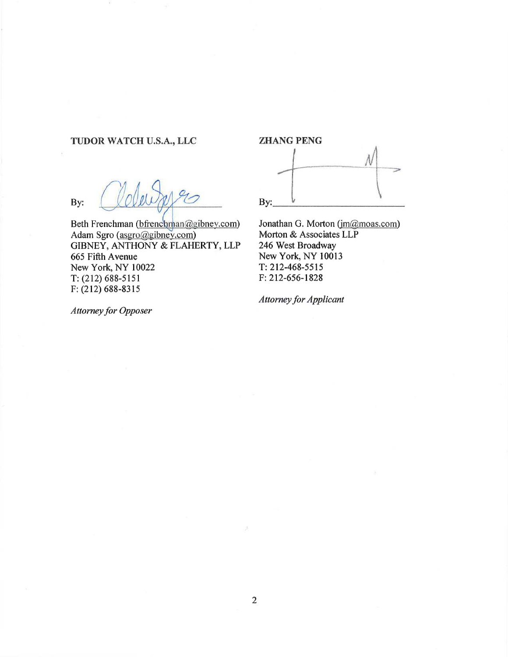# TUDOR WATCH U.S.A., LLC

 $\gamma$ By:

Beth Frenchman (bfrenchman@gibney.com) Adam Sgro (asgro@gibney.com) GIBNEY, ANTHONY & FLAHERTY, LLP 665 Fifth Avenue New York, NY 10022 T: (212) 688-5151 F: (212) 688-8315

ZHANG PENG By:

Jonathan G. Morton (jm@moas.com) Morton & Associates LLP 246 West Broadway New York, NY 10013 T: 212-468-5515 F:212-656-1828

Attorney for Applicant

Attorney for Opposer